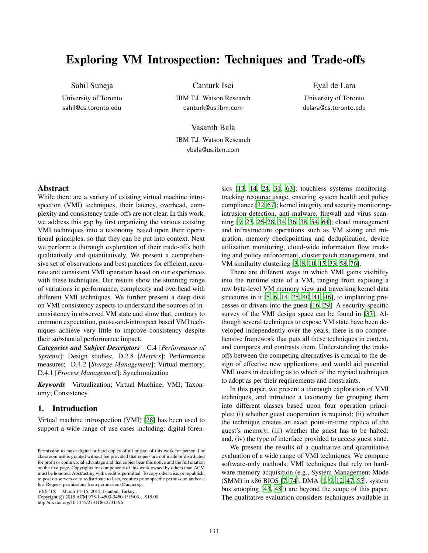# <span id="page-0-0"></span>Exploring VM Introspection: Techniques and Trade-offs

Sahil Suneja

University of Toronto sahil@cs.toronto.edu

Canturk Isci

IBM T.J. Watson Research canturk@us.ibm.com

Eyal de Lara University of Toronto delara@cs.toronto.edu

Vasanth Bala IBM T.J. Watson Research vbala@us.ibm.com

# Abstract

While there are a variety of existing virtual machine introspection (VMI) techniques, their latency, overhead, complexity and consistency trade-offs are not clear. In this work, we address this gap by first organizing the various existing VMI techniques into a taxonomy based upon their operational principles, so that they can be put into context. Next we perform a thorough exploration of their trade-offs both qualitatively and quantitatively. We present a comprehensive set of observations and best practices for efficient, accurate and consistent VMI operation based on our experiences with these techniques. Our results show the stunning range of variations in performance, complexity and overhead with different VMI techniques. We further present a deep dive on VMI consistency aspects to understand the sources of inconsistency in observed VM state and show that, contrary to common expectation, pause-and-introspect based VMI techniques achieve very little to improve consistency despite their substantial performance impact.

*Categories and Subject Descriptors* C.4 [*Performance of Systems*]: Design studies; D.2.8 [*Metrics*]: Performance measures; D.4.2 [*Storage Management*]: Virtual memory; D.4.1 [*Process Management*]: Synchronization

*Keywords* Virtualization; Virtual Machine; VMI; Taxonomy; Consistency

## 1. Introduction

Virtual machine introspection (VMI) [\[28](#page-12-0)] has been used to support a wide range of use cases including: digital foren-

VEE '15, March 14–15, 2015, Istanbul, Turkey..

Copyright © 2015 ACM 978-1-4503-3450-1/15/03... \$15.00. http://dx.doi.org/10.1145/2731186.2731196

sics [\[13](#page-12-1), [14](#page-12-2), [24,](#page-12-3) [31,](#page-12-4) [63](#page-13-0)]; touchless systems monitoringtracking resource usage, ensuring system health and policy compliance [\[32](#page-12-5), [67](#page-13-1)]; kernel integrity and security monitoringintrusion detection, anti-malware, firewall and virus scanning [\[9](#page-11-0), [23,](#page-12-6) [26](#page-12-7)[–28](#page-12-0), [34](#page-12-8), [36,](#page-12-9) [38](#page-12-10), [54](#page-13-2), [64\]](#page-13-3); cloud management and infrastructure operations such as VM sizing and migration, memory checkpointing and deduplication, device utilization monitoring, cloud-wide information flow tracking and policy enforcement, cluster patch management, and VM similarity clustering [\[3](#page-11-1), [8](#page-11-2), [10](#page-11-3), [15](#page-12-11), [33](#page-12-12), [58](#page-13-4), [76](#page-13-5)].

There are different ways in which VMI gains visibility into the runtime state of a VM, ranging from exposing a raw byte-level VM memory view and traversing kernel data structures in it [\[5](#page-11-4), [6,](#page-11-5) [14](#page-12-2), [25,](#page-12-13) [40,](#page-12-14) [41](#page-12-15), [46\]](#page-13-6), to implanting processes or drivers into the guest [\[16,](#page-12-16) [29](#page-12-17)]. A security-specific survey of the VMI design space can be found in [\[37\]](#page-12-18). Although several techniques to expose VM state have been developed independently over the years, there is no comprehensive framework that puts all these techniques in context, and compares and contrasts them. Understanding the tradeoffs between the competing alternatives is crucial to the design of effective new applications, and would aid potential VMI users in deciding as to which of the myriad techniques to adopt as per their requirements and constraints.

In this paper, we present a thorough exploration of VMI techniques, and introduce a taxonomy for grouping them into different classes based upon four operation principles: (i) whether guest cooperation is required; (ii) whether the technique creates an exact point-in-time replica of the guest's memory; (iii) whether the guest has to be halted; and, (iv) the type of interface provided to access guest state.

We present the results of a qualitative and quantitative evaluation of a wide range of VMI techniques. We compare software-only methods; VMI techniques that rely on hardware memory acquisition (e.g., System Management Mode (SMM) in x86 BIOS [\[7,](#page-11-6) [74](#page-13-7)], DMA [\[1](#page-11-7), [9](#page-11-0), [12,](#page-12-19) [47,](#page-13-8) [55](#page-13-9)], system bus snooping [\[43](#page-12-20), [48](#page-13-10)]) are beyond the scope of this paper. The qualitative evaluation considers techniques available in

Permission to make digital or hard copies of all or part of this work for personal or classroom use is granted without fee provided that copies are not made or distributed for profit or commercial advantage and that copies bear this notice and the full citation on the first page. Copyrights for components of this work owned by others than ACM must be honored. Abstracting with credit is permitted. To copy otherwise, or republish, to post on servers or to redistribute to lists, requires prior specific permission and/or a fee. Request permissions from permissions@acm.org.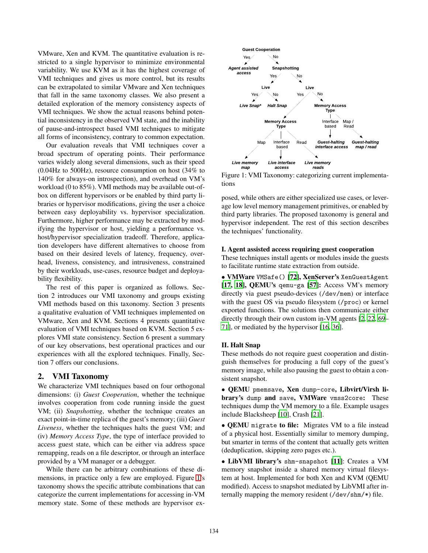VMware, Xen and KVM. The quantitative evaluation is restricted to a single hypervisor to minimize environmental variability. We use KVM as it has the highest coverage of VMI techniques and gives us more control, but its results can be extrapolated to similar VMware and Xen techniques that fall in the same taxonomy classes. We also present a detailed exploration of the memory consistency aspects of VMI techniques. We show the actual reasons behind potential inconsistency in the observed VM state, and the inability of pause-and-introspect based VMI techniques to mitigate all forms of inconsistency, contrary to common expectation.

Our evaluation reveals that VMI techniques cover a broad spectrum of operating points. Their performance varies widely along several dimensions, such as their speed (0.04Hz to 500Hz), resource consumption on host (34% to 140% for always-on introspection), and overhead on VM's workload (0 to 85%). VMI methods may be available out-ofbox on different hypervisors or be enabled by third party libraries or hypervisor modifications, giving the user a choice between easy deployability vs. hypervisor specialization. Furthermore, higher performance may be extracted by modifying the hypervisor or host, yielding a performance vs. host/hypervisor specialization tradeoff. Therefore, application developers have different alternatives to choose from based on their desired levels of latency, frequency, overhead, liveness, consistency, and intrusiveness, constrained by their workloads, use-cases, resource budget and deployability flexibility.

The rest of this paper is organized as follows. Section 2 introduces our VMI taxonomy and groups existing VMI methods based on this taxonomy. Section 3 presents a qualitative evaluation of VMI techniques implemented on VMware, Xen and KVM. Sections 4 presents quantitative evaluation of VMI techniques based on KVM. Section 5 explores VMI state consistency. Section 6 present a summary of our key observations, best operational practices and our experiences with all the explored techniques. Finally, Section 7 offers our conclusions.

## 2. VMI Taxonomy

We characterize VMI techniques based on four orthogonal dimensions: (i) *Guest Cooperation*, whether the technique involves cooperation from code running inside the guest VM; (ii) *Snapshotting*, whether the technique creates an exact point-in-time replica of the guest's memory; (iii) *Guest Liveness*, whether the techniques halts the guest VM; and (iv) *Memory Access Type*, the type of interface provided to access guest state, which can be either via address space remapping, reads on a file descriptor, or through an interface provided by a VM manager or a debugger.

While there can be arbitrary combinations of these dimensions, in practice only a few are employed. Figure [1'](#page-1-0)s taxonomy shows the specific attribute combinations that can categorize the current implementations for accessing in-VM memory state. Some of these methods are hypervisor ex-

<span id="page-1-0"></span>

Figure 1: VMI Taxonomy: categorizing current implementations

posed, while others are either specialized use cases, or leverage low level memory management primitives, or enabled by third party libraries. The proposed taxonomy is general and hypervisor independent. The rest of this section describes the techniques' functionality.

#### I. Agent assisted access requiring guest cooperation

These techniques install agents or modules inside the guests to facilitate runtime state extraction from outside.

• VMWare VMSafe() [\[72\]](#page-13-11), XenServer's XenGuestAgent [\[17](#page-12-21), [18\]](#page-12-22), QEMU's qemu-ga [\[57\]](#page-13-12): Access VM's memory directly via guest pseudo-devices (/dev/mem) or interface with the guest OS via pseudo filesystem (/proc) or kernel exported functions. The solutions then communicate either directly through their own custom in-VM agents [\[2](#page-11-8), [22](#page-12-23), [69](#page-13-13)– [71\]](#page-13-14), or mediated by the hypervisor [\[16,](#page-12-16) [36](#page-12-9)].

#### II. Halt Snap

These methods do not require guest cooperation and distinguish themselves for producing a full copy of the guest's memory image, while also pausing the guest to obtain a consistent snapshot.

• QEMU pmemsave, Xen dump-core, Libvirt/Virsh library's dump and save, VMWare vmss2core: These techniques dump the VM memory to a file. Example usages include Blacksheep [\[10\]](#page-11-3), Crash [\[21\]](#page-12-24).

• QEMU migrate to file: Migrates VM to a file instead of a physical host. Essentially similar to memory dumping, but smarter in terms of the content that actually gets written (deduplication, skipping zero pages etc.).

• LibVMI library's shm-snapshot [\[11](#page-12-25)]: Creates a VM memory snapshot inside a shared memory virtual filesystem at host. Implemented for both Xen and KVM (QEMU modified). Access to snapshot mediated by LibVMI after internally mapping the memory resident (/dev/shm/\*) file.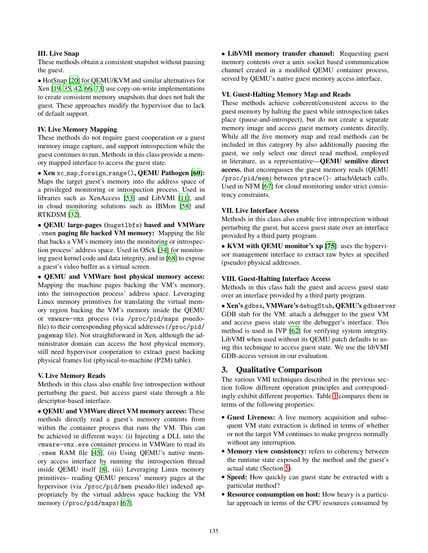# III. Live Snap

These methods obtain a consistent snapshot without pausing the guest.

• HotSnap [\[20](#page-12-26)] for QEMU/KVM and similar alternatives for Xen [\[19](#page-12-27), [35](#page-12-28), [42](#page-12-29), [66](#page-13-15), [73](#page-13-16)] use copy-on-write implementations to create consistent memory snapshots that does not halt the guest. These approaches modify the hypervisor due to lack of default support.

## IV. Live Memory Mapping

These methods do not require guest cooperation or a guest memory image capture, and support introspection while the guest continues to run. Methods in this class provide a memory mapped interface to access the guest state.

• Xen xc map foreign range(), QEMU Pathogen [\[60](#page-13-17)]: Maps the target guest's memory into the address space of a privileged monitoring or introspection process. Used in libraries such as XenAccess [\[53](#page-13-18)] and LibVMI [\[11](#page-12-25)], and in cloud monitoring solutions such as IBMon [\[58](#page-13-4)] and RTKDSM [\[32\]](#page-12-5).

• QEMU large-pages (hugetlbfs) based and VMWare .vmem paging file backed VM memory: Mapping the file that backs a VM's memory into the monitoring or introspection process' address space. Used in OSck [\[34](#page-12-8)] for monitoring guest kernel code and data integrity, and in [\[68\]](#page-13-19) to expose a guest's video buffer as a virtual screen.

• QEMU and VMWare host physical memory access: Mapping the machine pages backing the VM's memory, into the introspection process' address space. Leveraging Linux memory primitives for translating the virtual memory region backing the VM's memory inside the QEMU or vmware-vmx process (via /proc/pid/maps psuedofile) to their corresponding physical addresses (/proc/pid/ pagemap file). Not straightforward in Xen, although the administrator domain can access the host physical memory, still need hypervisor cooperation to extract guest backing physical frames list (physical-to-machine (P2M) table).

# V. Live Memory Reads

Methods in this class also enable live introspection without perturbing the guest, but access guest state through a file descriptor-based interface.

• QEMU and VMWare direct VM memory access: These methods directly read a guest's memory contents from within the container process that runs the VM. This can be achieved in different ways: (i) Injecting a DLL into the vmware-vmx.exe container process in VMWare to read its .vmem RAM file [\[45\]](#page-13-20), (ii) Using QEMU's native memory access interface by running the introspection thread inside QEMU itself [\[8](#page-11-2)], (iii) Leveraging Linux memory primitives– reading QEMU process' memory pages at the hypervisor (via /proc/pid/mem pseudo-file) indexed appropriately by the virtual address space backing the VM memory (/proc/pid/maps) [\[67](#page-13-1)].

• LibVMI memory transfer channel: Requesting guest memory contents over a unix socket based communication channel created in a modified QEMU container process, served by QEMU's native guest memory access interface.

# VI. Guest-Halting Memory Map and Reads

These methods achieve coherent/consistent access to the guest memory by halting the guest while introspection takes place (pause-and-introspect), but do not create a separate memory image and access guest memory contents directly. While all the live memory map and read methods can be included in this category by also additionally pausing the guest, we only select one direct read method, employed in literature, as a representative—QEMU semilive direct access, that encompasses the guest memory reads (QEMU /proc/pid/mem) between ptrace()- attach/detach calls. Used in NFM [\[67](#page-13-1)] for cloud monitoring under strict consistency constraints.

# VII. Live Interface Access

Methods in this class also enable live introspection without perturbing the guest, but access guest state over an interface provided by a third party program.

• KVM with QEMU monitor's xp [\[75](#page-13-21)]: uses the hypervisor management interface to extract raw bytes at specified (pseudo) physical addresses.

# VIII. Guest-Halting Interface Access

Methods in this class halt the guest and access guest state over an interface provided by a third party program.

• Xen's gdbsx, VMWare's debugStub, QEMU's gdbserver GDB stub for the VM: attach a debugger to the guest VM and access guess state over the debugger's interface. This method is used in IVP [\[62](#page-13-22)] for verifying system integrity. LibVMI when used without its QEMU patch defaults to using this technique to access guest state. We use the libVMI GDB-access version in our evaluation.

# 3. Qualitative Comparison

The various VMI techniques described in the previous section follow different operation principles and correspondingly exhibit different properties. Table [1](#page-3-0) compares them in terms of the following properties:

- Guest Liveness: A live memory acquisition and subsequent VM state extraction is defined in terms of whether or not the target VM continues to make progress normally without any interruption.
- Memory view consistency: refers to coherency between the runtime state exposed by the method and the guest's actual state (Section [5\)](#page-8-0).
- Speed: How quickly can guest state be extracted with a particular method?
- Resource consumption on host: How heavy is a particular approach in terms of the CPU resources consumed by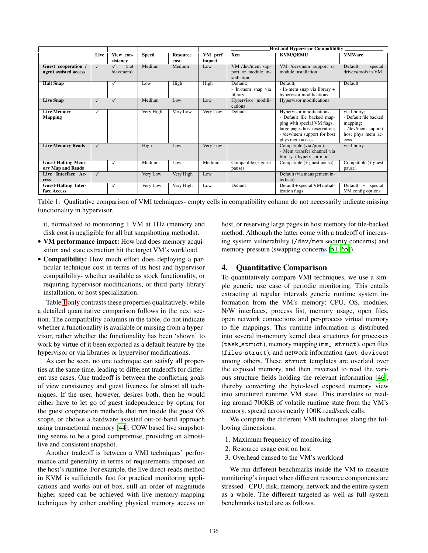<span id="page-3-0"></span>

|                                                |              |                          |           |                         |                   | <b>Host and Hypervisor Compatibility</b>             |                                                                                                                                                                           |                                                                                                      |
|------------------------------------------------|--------------|--------------------------|-----------|-------------------------|-------------------|------------------------------------------------------|---------------------------------------------------------------------------------------------------------------------------------------------------------------------------|------------------------------------------------------------------------------------------------------|
|                                                | Live         | View con-<br>sistency    | Speed     | <b>Resource</b><br>cost | VM perf<br>impact | Xen                                                  | <b>KVM/OEMU</b>                                                                                                                                                           | <b>VMWare</b>                                                                                        |
| Guest cooperation /<br>agent assisted access   | $\checkmark$ | (not)<br>$/$ dev/mem $)$ | Medium    | Medium                  | Low               | VM /dev/mem sup-<br>port or module in-<br>stallation | VM /dev/mem support or<br>module installation                                                                                                                             | Default;<br>special<br>drivers/tools in VM                                                           |
| <b>Halt Snap</b>                               |              | ✓                        | Low       | High                    | High              | Default;<br>- In-mem snap via<br>library             | Default:<br>- In-mem snap via library +<br>hypervisor modifications                                                                                                       | Default                                                                                              |
| <b>Live Snap</b>                               | $\checkmark$ | ✓                        | Medium    | Low                     | Low               | Hypervisor modifi-<br>cations                        | Hypervisor modifications                                                                                                                                                  |                                                                                                      |
| <b>Live Memory</b><br><b>Mapping</b>           | $\checkmark$ |                          | Very High | Very Low                | Very Low          | Default                                              | Hypervisor modifications;<br>- Default file backed map-<br>ping with special VM flags,<br>large pages host reservation;<br>- /dev/mem support for host<br>phys mem access | via library;<br>- Default file backed<br>mapping;<br>- /dev/mem support<br>host phys mem ac-<br>cess |
| <b>Live Memory Reads</b>                       | $\checkmark$ |                          | High      | Low                     | Very Low          |                                                      | Compatible (via /proc);<br>- Mem transfer channel via<br>library + hypervisor mod.                                                                                        | via library                                                                                          |
| <b>Guest-Halting Mem-</b><br>ory Map and Reads |              | $\checkmark$             | Medium    | Low                     | Medium            | Compatible (+ guest<br>pause)                        | Compatible (+ guest pause)                                                                                                                                                | Compatible (+ guest<br>pause)                                                                        |
| Live Interface Ac-<br>cess                     | $\checkmark$ |                          | Very Low  | Very High               | Low               |                                                      | Default (via management in-<br>terface)                                                                                                                                   |                                                                                                      |
| <b>Guest-Halting Inter-</b><br>face Access     |              | ✓                        | Very Low  | Very High               | Low               | Default                                              | Default + special VM initial-<br>ization flags                                                                                                                            | Default<br>special<br>$+$<br>VM config options                                                       |

Table 1: Qualitative comparison of VMI techniques- empty cells in compatibility column do not necessarily indicate missing functionality in hypervisor.

it, normalized to monitoring 1 VM at 1Hz (memory and disk cost is negligible for all but snapshotting methods).

- VM performance impact: How bad does memory acquisition and state extraction hit the target VM's workload.
- Compatibility: How much effort does deploying a particular technique cost in terms of its host and hypervisor compatibility- whether available as stock functionality, or requiring hypervisor modifications, or third party library installation, or host specialization.

Table [1](#page-3-0) only contrasts these properties qualitatively, while a detailed quantitative comparison follows in the next section. The compatibility columns in the table, do not indicate whether a functionality is available or missing from a hypervisor, rather whether the functionality has been 'shown' to work by virtue of it been exported as a default feature by the hypervisor or via libraries or hypervisor modifications.

As can be seen, no one technique can satisfy all properties at the same time, leading to different tradeoffs for different use cases. One tradeoff is between the conflicting goals of view consistency and guest liveness for almost all techniques. If the user, however, desires both, then he would either have to let go of guest independence by opting for the guest cooperation methods that run inside the guest OS scope, or choose a hardware assisted out-of-band approach using transactional memory [\[44\]](#page-13-23). COW based live snapshotting seems to be a good compromise, providing an almostlive and consistent snapshot.

Another tradeoff is between a VMI techniques' performance and generality in terms of requirements imposed on the host's runtime. For example, the live direct-reads method in KVM is sufficiently fast for practical monitoring applications and works out-of-box, still an order of magnitude higher speed can be achieved with live memory-mapping techniques by either enabling physical memory access on host, or reserving large pages in host memory for file-backed method. Although the latter come with a tradeoff of increasing system vulnerability (/dev/mem security concerns) and memory pressure (swapping concerns [\[51](#page-13-24), [65](#page-13-25)]).

# 4. Quantitative Comparison

To quantitatively compare VMI techniques, we use a simple generic use case of periodic monitoring. This entails extracting at regular intervals generic runtime system information from the VM's memory: CPU, OS, modules, N/W interfaces, process list, memory usage, open files, open network connections and per-process virtual memory to file mappings. This runtime information is distributed into several in-memory kernel data structures for processes (task\_struct), memory mapping (mm\_ struct), open files (files struct), and network information (net devices) among others. These struct templates are overlaid over the exposed memory, and then traversed to read the various structure fields holding the relevant information [\[46](#page-13-6)], thereby converting the byte-level exposed memory view into structured runtime VM state. This translates to reading around 700KB of volatile runtime state from the VM's memory, spread across nearly 100K read/seek calls.

We compare the different VMI techniques along the following dimensions:

- 1. Maximum frequency of monitoring
- 2. Resource usage cost on host
- 3. Overhead caused to the VM's workload

We run different benchmarks inside the VM to measure monitoring's impact when different resource components are stressed - CPU, disk, memory, network and the entire system as a whole. The different targeted as well as full system benchmarks tested are as follows.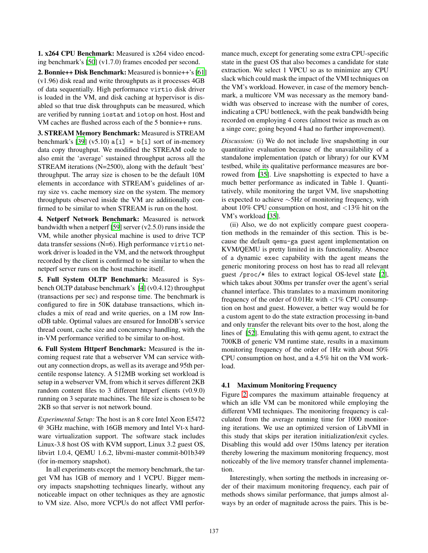1. x264 CPU Benchmark: Measured is x264 video encoding benchmark's [\[50\]](#page-13-26) (v1.7.0) frames encoded per second.

2. Bonnie++ Disk Benchmark: Measured is bonnie++'s [\[61\]](#page-13-27) (v1.96) disk read and write throughputs as it processes 4GB of data sequentially. High performance virtio disk driver is loaded in the VM, and disk caching at hypervisor is disabled so that true disk throughputs can be measured, which are verified by running iostat and iotop on host. Host and VM caches are flushed across each of the 5 bonnie++ runs.

3. STREAM Memory Benchmark: Measured is STREAM benchmark's [\[39](#page-12-30)]  $(v5.10)$  a[i] = b[i] sort of in-memory data copy throughput. We modified the STREAM code to also emit the 'average' sustained throughput across all the STREAM iterations (N=2500), along with the default 'best' throughput. The array size is chosen to be the default 10M elements in accordance with STREAM's guidelines of array size vs. cache memory size on the system. The memory throughputs observed inside the VM are additionally confirmed to be similar to when STREAM is run on the host.

4. Netperf Network Benchmark: Measured is network bandwidth when a netperf [\[59](#page-13-28)] server  $(v2.5.0)$  runs inside the VM, while another physical machine is used to drive TCP data transfer sessions (N=6). High performance virtio network driver is loaded in the VM, and the network throughput recorded by the client is confirmed to be similar to when the netperf server runs on the host machine itself.

5. Full System OLTP Benchmark: Measured is Sysbench OLTP database benchmark's [\[4](#page-11-9)] (v0.4.12) throughput (transactions per sec) and response time. The benchmark is configured to fire in 50K database transactions, which includes a mix of read and write queries, on a 1M row InnoDB table. Optimal values are ensured for InnoDB's service thread count, cache size and concurrency handling, with the in-VM performance verified to be similar to on-host.

6. Full System Httperf Benchmark: Measured is the incoming request rate that a webserver VM can service without any connection drops, as well as its average and 95th percentile response latency. A 512MB working set workload is setup in a webserver VM, from which it serves different 2KB random content files to 3 different httperf clients (v0.9.0) running on 3 separate machines. The file size is chosen to be 2KB so that server is not network bound.

*Experimental Setup:* The host is an 8 core Intel Xeon E5472 @ 3GHz machine, with 16GB memory and Intel Vt-x hardware virtualization support. The software stack includes Linux-3.8 host OS with KVM support, Linux 3.2 guest OS, libvirt 1.0.4, QEMU 1.6.2, libvmi-master commit-b01b349 (for in-memory snapshot).

In all experiments except the memory benchmark, the target VM has 1GB of memory and 1 VCPU. Bigger memory impacts snapshotting techniques linearly, without any noticeable impact on other techniques as they are agnostic to VM size. Also, more VCPUs do not affect VMI performance much, except for generating some extra CPU-specific state in the guest OS that also becomes a candidate for state extraction. We select 1 VPCU so as to minimize any CPU slack which could mask the impact of the VMI techniques on the VM's workload. However, in case of the memory benchmark, a multicore VM was necessary as the memory bandwidth was observed to increase with the number of cores, indicating a CPU bottleneck, with the peak bandwidth being recorded on employing 4 cores (almost twice as much as on a singe core; going beyond 4 had no further improvement).

*Discussion:* (i) We do not include live snapshotting in our quantitative evaluation because of the unavailability of a standalone implementation (patch or library) for our KVM testbed, while its qualitative performance measures are borrowed from [\[35](#page-12-28)]. Live snapshotting is expected to have a much better performance as indicated in Table 1. Quantitatively, while monitoring the target VM, live snapshotting is expected to achieve ∼5Hz of monitoring frequency, with about 10% CPU consumption on host, and <13% hit on the VM's workload [\[35](#page-12-28)].

(ii) Also, we do not explicitly compare guest cooperation methods in the remainder of this section. This is because the default qemu-ga guest agent implementation on KVM/QEMU is pretty limited in its functionality. Absence of a dynamic exec capability with the agent means the generic monitoring process on host has to read all relevant guest /proc/\* files to extract logical OS-level state [\[2](#page-11-8)], which takes about 300ms per transfer over the agent's serial channel interface. This translates to a maximum monitoring frequency of the order of  $0.01$ Hz with  $\langle 1\%$  CPU consumption on host and guest. However, a better way would be for a custom agent to do the state extraction processing in-band and only transfer the relevant bits over to the host, along the lines of [\[52\]](#page-13-29). Emulating this with qemu agent, to extract the 700KB of generic VM runtime state, results in a maximum monitoring frequency of the order of 1Hz with about 50% CPU consumption on host, and a 4.5% hit on the VM workload.

## 4.1 Maximum Monitoring Frequency

Figure [2](#page-5-0) compares the maximum attainable frequency at which an idle VM can be monitored while employing the different VMI techniques. The monitoring frequency is calculated from the average running time for 1000 monitoring iterations. We use an optimized version of LibVMI in this study that skips per iteration initialization/exit cycles. Disabling this would add over 150ms latency per iteration thereby lowering the maximum monitoring frequency, most noticeably of the live memory transfer channel implementation.

Interestingly, when sorting the methods in increasing order of their maximum monitoring frequency, each pair of methods shows similar performance, that jumps almost always by an order of magnitude across the pairs. This is be-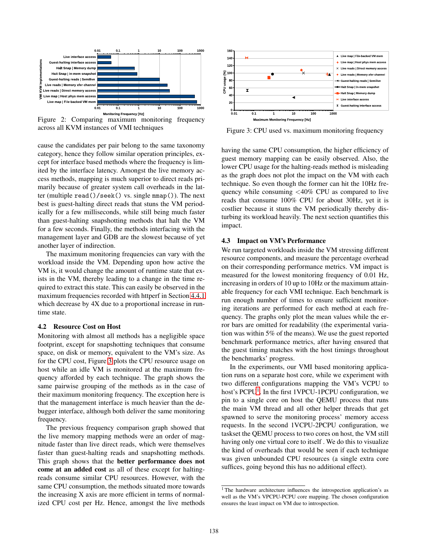<span id="page-5-0"></span>

Figure 2: Comparing maximum monitoring frequency across all KVM instances of VMI techniques

cause the candidates per pair belong to the same taxonomy category, hence they follow similar operation principles, except for interface based methods where the frequency is limited by the interface latency. Amongst the live memory access methods, mapping is much superior to direct reads primarily because of greater system call overheads in the latter (multiple read()/seek() vs. single mmap()). The next best is guest-halting direct reads that stuns the VM periodically for a few milliseconds, while still being much faster than guest-halting snapshotting methods that halt the VM for a few seconds. Finally, the methods interfacing with the management layer and GDB are the slowest because of yet another layer of indirection.

The maximum monitoring frequencies can vary with the workload inside the VM. Depending upon how active the VM is, it would change the amount of runtime state that exists in the VM, thereby leading to a change in the time required to extract this state. This can easily be observed in the maximum frequencies recorded with httperf in Section [4.4.1](#page-7-0) which decrease by  $4X$  due to a proportional increase in runtime state.

#### 4.2 Resource Cost on Host

Monitoring with almost all methods has a negligible space footprint, except for snapshotting techniques that consume space, on disk or memory, equivalent to the VM's size. As for the CPU cost, Figure [3](#page-5-1) plots the CPU resource usage on host while an idle VM is monitored at the maximum frequency afforded by each technique. The graph shows the same pairwise grouping of the methods as in the case of their maximum monitoring frequency. The exception here is that the management interface is much heavier than the debugger interface, although both deliver the same monitoring frequency.

The previous frequency comparison graph showed that the live memory mapping methods were an order of magnitude faster than live direct reads, which were themselves faster than guest-halting reads and snapshotting methods. This graph shows that the better performance does not come at an added cost as all of these except for haltingreads consume similar CPU resources. However, with the same CPU consumption, the methods situated more towards the increasing X axis are more efficient in terms of normalized CPU cost per Hz. Hence, amongst the live methods

<span id="page-5-1"></span>

Figure 3: CPU used vs. maximum monitoring frequency

having the same CPU consumption, the higher efficiency of guest memory mapping can be easily observed. Also, the lower CPU usage for the halting-reads method is misleading as the graph does not plot the impact on the VM with each technique. So even though the former can hit the 10Hz frequency while consuming <40% CPU as compared to live reads that consume 100% CPU for about 30Hz, yet it is costlier because it stuns the VM periodically thereby disturbing its workload heavily. The next section quantifies this impact.

#### 4.3 Impact on VM's Performance

We run targeted workloads inside the VM stressing different resource components, and measure the percentage overhead on their corresponding performance metrics. VM impact is measured for the lowest monitoring frequency of 0.01 Hz, increasing in orders of 10 up to 10Hz or the maximum attainable frequency for each VMI technique. Each benchmark is run enough number of times to ensure sufficient monitoring iterations are performed for each method at each frequency. The graphs only plot the mean values while the error bars are omitted for readability (the experimental variation was within 5% of the means). We use the guest reported benchmark performance metrics, after having ensured that the guest timing matches with the host timings throughout the benchmarks' progress.

In the experiments, our VMI based monitoring application runs on a separate host core, while we experiment with two different configurations mapping the VM's VCPU to host's PCPU<sup>[1](#page-5-2)</sup>. In the first 1VPCU-1PCPU configuration, we pin to a single core on host the QEMU process that runs the main VM thread and all other helper threads that get spawned to serve the monitoring process' memory access requests. In the second 1VCPU-2PCPU configuration, we taskset the QEMU process to two cores on host, the VM still having only one virtual core to itself . We do this to visualize the kind of overheads that would be seen if each technique was given unbounded CPU resources (a single extra core suffices, going beyond this has no additional effect).

<span id="page-5-2"></span><sup>&</sup>lt;sup>1</sup> The hardware architecture influences the introspection application's as well as the VM's VPCPU-PCPU core mapping. The chosen configuration ensures the least impact on VM due to introspection.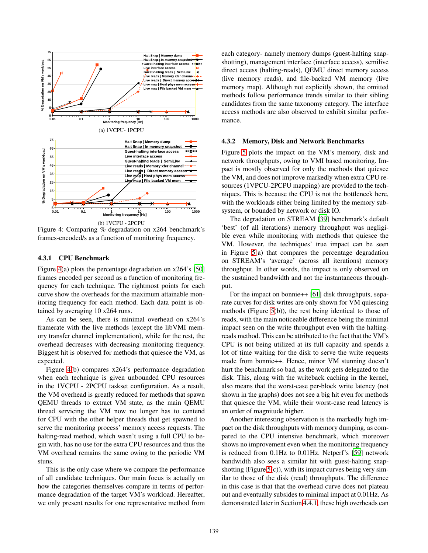<span id="page-6-0"></span>

Figure 4: Comparing % degradation on x264 benchmark's frames-encoded/s as a function of monitoring frequency.

#### 4.3.1 CPU Benchmark

Figure [4\(](#page-6-0)a) plots the percentage degradation on  $x264$ 's [\[50\]](#page-13-26) frames encoded per second as a function of monitoring frequency for each technique. The rightmost points for each curve show the overheads for the maximum attainable monitoring frequency for each method. Each data point is obtained by averaging 10 x264 runs.

As can be seen, there is minimal overhead on x264's framerate with the live methods (except the libVMI memory transfer channel implementation), while for the rest, the overhead decreases with decreasing monitoring frequency. Biggest hit is observed for methods that quiesce the VM, as expected.

Figure [4\(](#page-6-0)b) compares x264's performance degradation when each technique is given unbounded CPU resources in the 1VCPU - 2PCPU taskset configuration. As a result, the VM overhead is greatly reduced for methods that spawn QEMU threads to extract VM state, as the main QEMU thread servicing the VM now no longer has to contend for CPU with the other helper threads that get spawned to serve the monitoring process' memory access requests. The halting-read method, which wasn't using a full CPU to begin with, has no use for the extra CPU resources and thus the VM overhead remains the same owing to the periodic VM stuns.

This is the only case where we compare the performance of all candidate techniques. Our main focus is actually on how the categories themselves compare in terms of performance degradation of the target VM's workload. Hereafter, we only present results for one representative method from each category- namely memory dumps (guest-halting snapshotting), management interface (interface access), semilive direct access (halting-reads), QEMU direct memory access (live memory reads), and file-backed VM memory (live memory map). Although not explicitly shown, the omitted methods follow performance trends similar to their sibling candidates from the same taxonomy category. The interface access methods are also observed to exhibit similar performance.

#### 4.3.2 Memory, Disk and Network Benchmarks

Figure [5](#page-7-1) plots the impact on the VM's memory, disk and network throughputs, owing to VMI based monitoring. Impact is mostly observed for only the methods that quiesce the VM, and does not improve markedly when extra CPU resources (1VPCU-2PCPU mapping) are provided to the techniques. This is because the CPU is not the bottleneck here, with the workloads either being limited by the memory subsystem, or bounded by network or disk IO.

The degradation on STREAM [\[39\]](#page-12-30) benchmark's default 'best' (of all iterations) memory throughput was negligible even while monitoring with methods that quiesce the VM. However, the techniques' true impact can be seen in Figure [5\(](#page-7-1)a) that compares the percentage degradation on STREAM's 'average' (across all iterations) memory throughput. In other words, the impact is only observed on the sustained bandwidth and not the instantaneous throughput.

For the impact on bonnie++ [\[61](#page-13-27)] disk throughputs, separate curves for disk writes are only shown for VM quiescing methods (Figure [5\(](#page-7-1)b)), the rest being identical to those of reads, with the main noticeable difference being the minimal impact seen on the write throughput even with the haltingreads method. This can be attributed to the fact that the VM's CPU is not being utilized at its full capacity and spends a lot of time waiting for the disk to serve the write requests made from bonnie++. Hence, minor VM stunning doesn't hurt the benchmark so bad, as the work gets delegated to the disk. This, along with the writeback caching in the kernel, also means that the worst-case per-block write latency (not shown in the graphs) does not see a big hit even for methods that quiesce the VM, while their worst-case read latency is an order of magnitude higher.

Another interesting observation is the markedly high impact on the disk throughputs with memory dumping, as compared to the CPU intensive benchmark, which moreover shows no improvement even when the monitoring frequency is reduced from 0.1Hz to 0.01Hz. Netperf's [\[59](#page-13-28)] network bandwidth also sees a similar hit with guest-halting snapshotting (Figure  $5(c)$ ), with its impact curves being very similar to those of the disk (read) throughputs. The difference in this case is that that the overhead curve does not plateau out and eventually subsides to minimal impact at 0.01Hz. As demonstrated later in Section [4.4.1,](#page-7-0) these high overheads can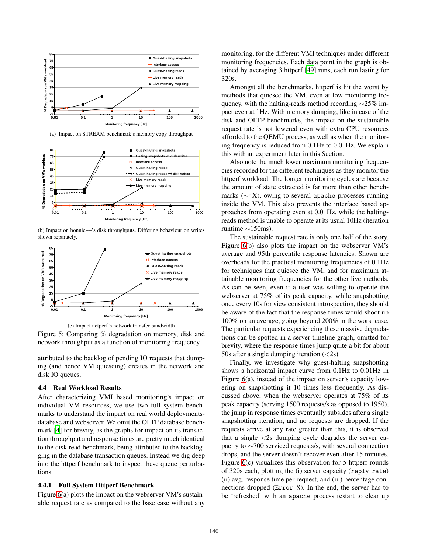<span id="page-7-1"></span>

(a) Impact on STREAM benchmark's memory copy throughput



(b) Impact on bonnie++'s disk throughputs. Differing behaviour on writes shown separately.



(c) Impact netperf's network transfer bandwidth

Figure 5: Comparing % degradation on memory, disk and network throughput as a function of monitoring frequency

attributed to the backlog of pending IO requests that dumping (and hence VM quiescing) creates in the network and disk IO queues.

## 4.4 Real Workload Results

After characterizing VMI based monitoring's impact on individual VM resources, we use two full system benchmarks to understand the impact on real world deploymentsdatabase and webserver. We omit the OLTP database benchmark [\[4](#page-11-9)] for brevity, as the graphs for impact on its transaction throughput and response times are pretty much identical to the disk read benchmark, being attributed to the backlogging in the database transaction queues. Instead we dig deep into the httperf benchmark to inspect these queue perturbations.

#### <span id="page-7-0"></span>4.4.1 Full System Httperf Benchmark

Figure [6\(](#page-8-1)a) plots the impact on the webserver VM's sustainable request rate as compared to the base case without any monitoring, for the different VMI techniques under different monitoring frequencies. Each data point in the graph is obtained by averaging 3 httperf [\[49](#page-13-30)] runs, each run lasting for 320s.

Amongst all the benchmarks, httperf is hit the worst by methods that quiesce the VM, even at low monitoring frequency, with the halting-reads method recording ∼25% impact even at 1Hz. With memory dumping, like in case of the disk and OLTP benchmarks, the impact on the sustainable request rate is not lowered even with extra CPU resources afforded to the QEMU process, as well as when the monitoring frequency is reduced from 0.1Hz to 0.01Hz. We explain this with an experiment later in this Section.

Also note the much lower maximum monitoring frequencies recorded for the different techniques as they monitor the httperf workload. The longer monitoring cycles are because the amount of state extracted is far more than other benchmarks (∼4X), owing to several apache processes running inside the VM. This also prevents the interface based approaches from operating even at 0.01Hz, while the haltingreads method is unable to operate at its usual 10Hz (iteration runtime  $\sim$ 150ms).

The sustainable request rate is only one half of the story. Figure [6\(](#page-8-1)b) also plots the impact on the webserver VM's average and 95th percentile response latencies. Shown are overheads for the practical monitoring frequencies of 0.1Hz for techniques that quiesce the VM, and for maximum attainable monitoring frequencies for the other live methods. As can be seen, even if a user was willing to operate the webserver at 75% of its peak capacity, while snapshotting once every 10s for view consistent introspection, they should be aware of the fact that the response times would shoot up 100% on an average, going beyond 200% in the worst case. The particular requests experiencing these massive degradations can be spotted in a server timeline graph, omitted for brevity, where the response times jump quite a bit for about 50s after a single dumping iteration  $\left(\langle 2s \rangle\right)$ .

Finally, we investigate why guest-halting snapshotting shows a horizontal impact curve from 0.1Hz to 0.01Hz in Figure [6\(](#page-8-1)a), instead of the impact on server's capacity lowering on snapshotting it 10 times less frequently. As discussed above, when the webserver operates at 75% of its peak capacity (serving 1500 requests/s as opposed to 1950), the jump in response times eventually subsides after a single snapshotting iteration, and no requests are dropped. If the requests arrive at any rate greater than this, it is observed that a single <2s dumping cycle degrades the server capacity to ∼700 serviced requests/s, with several connection drops, and the server doesn't recover even after 15 minutes. Figure [6\(](#page-8-1)c) visualizes this observation for 5 httperf rounds of 320s each, plotting the (i) server capacity (reply\_rate) (ii) avg. response time per request, and (iii) percentage connections dropped (Error %). In the end, the server has to be 'refreshed' with an apache process restart to clear up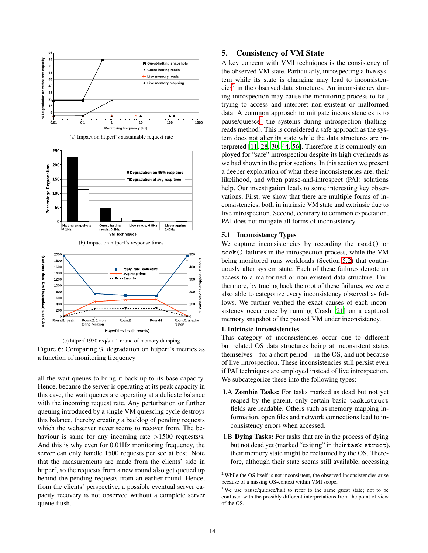<span id="page-8-1"></span>



Figure 6: Comparing % degradation on httperf's metrics as a function of monitoring frequency

all the wait queues to bring it back up to its base capacity. Hence, because the server is operating at its peak capacity in this case, the wait queues are operating at a delicate balance with the incoming request rate. Any perturbation or further queuing introduced by a single VM quiescing cycle destroys this balance, thereby creating a backlog of pending requests which the webserver never seems to recover from. The behaviour is same for any incoming rate  $>1500$  requests/s. And this is why even for 0.01Hz monitoring frequency, the server can only handle 1500 requests per sec at best. Note that the measurements are made from the clients' side in httperf, so the requests from a new round also get queued up behind the pending requests from an earlier round. Hence, from the clients' perspective, a possible eventual server capacity recovery is not observed without a complete server queue flush.

# <span id="page-8-0"></span>5. Consistency of VM State

A key concern with VMI techniques is the consistency of the observed VM state. Particularly, introspecting a live system while its state is changing may lead to inconsisten- $cies<sup>2</sup>$  $cies<sup>2</sup>$  $cies<sup>2</sup>$  in the observed data structures. An inconsistency during introspection may cause the monitoring process to fail, trying to access and interpret non-existent or malformed data. A common approach to mitigate inconsistencies is to pause/quiesce<sup>[3](#page-8-3)</sup> the systems during introspection (haltingreads method). This is considered a safe approach as the system does not alter its state while the data structures are interpreted [\[11](#page-12-25), [28](#page-12-0), [30](#page-12-31), [44](#page-13-23), [56](#page-13-31)]. Therefore it is commonly employed for "safe" introspection despite its high overheads as we had shown in the prior sections. In this section we present a deeper exploration of what these inconsistencies are, their likelihood, and when pause-and-introspect (PAI) solutions help. Our investigation leads to some interesting key observations. First, we show that there are multiple forms of inconsistencies, both in intrinsic VM state and extrinsic due to live introspection. Second, contrary to common expectation, PAI does not mitigate all forms of inconsistency.

## 5.1 Inconsistency Types

We capture inconsistencies by recording the read() or seek() failures in the introspection process, while the VM being monitored runs workloads (Section [5.2\)](#page-9-0) that continuously alter system state. Each of these failures denote an access to a malformed or non-existent data structure. Furthermore, by tracing back the root of these failures, we were also able to categorize every inconsistency observed as follows. We further verified the exact causes of each inconsistency occurrence by running Crash [\[21](#page-12-24)] on a captured memory snapshot of the paused VM under inconsistency.

## I. Intrinsic Inconsistencies

This category of inconsistencies occur due to different but related OS data structures being at inconsistent states themselves—for a short period—in the OS, and not because of live introspection. These inconsistencies still persist even if PAI techniques are employed instead of live introspection. We subcategorize these into the following types:

- I.A Zombie Tasks: For tasks marked as dead but not yet reaped by the parent, only certain basic task struct fields are readable. Others such as memory mapping information, open files and network connections lead to inconsistency errors when accessed.
- I.B Dying Tasks: For tasks that are in the process of dying but not dead yet (marked "exiting" in their task\_struct), their memory state might be reclaimed by the OS. Therefore, although their state seems still available, accessing

<span id="page-8-2"></span> $2$ While the OS itself is not inconsistent, the observed inconsistencies arise because of a missing OS-context within VMI scope.

<span id="page-8-3"></span><sup>&</sup>lt;sup>3</sup>We use pause/quiesce/halt to refer to the same guest state; not to be confused with the possibly different interpretations from the point of view of the OS.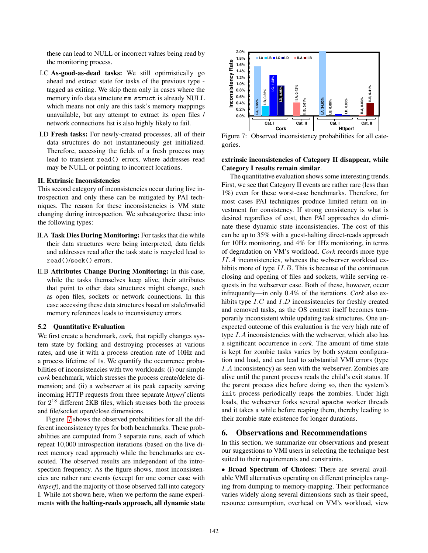these can lead to NULL or incorrect values being read by the monitoring process.

- I.C As-good-as-dead tasks: We still optimistically go ahead and extract state for tasks of the previous type tagged as exiting. We skip them only in cases where the memory info data structure mm struct is already NULL which means not only are this task's memory mappings unavailable, but any attempt to extract its open files / network connections list is also highly likely to fail.
- I.D Fresh tasks: For newly-created processes, all of their data structures do not instantaneously get initialized. Therefore, accessing the fields of a fresh process may lead to transient read() errors, where addresses read may be NULL or pointing to incorrect locations.

#### II. Extrinsic Inconsistencies

This second category of inconsistencies occur during live introspection and only these can be mitigated by PAI techniques. The reason for these inconsistencies is VM state changing during introspection. We subcategorize these into the following types:

- II.A Task Dies During Monitoring: For tasks that die while their data structures were being interpreted, data fields and addresses read after the task state is recycled lead to read()/seek() errors.
- II.B Attributes Change During Monitoring: In this case, while the tasks themselves keep alive, their attributes that point to other data structures might change, such as open files, sockets or network connections. In this case accessing these data structures based on stale/invalid memory references leads to inconsistency errors.

## <span id="page-9-0"></span>5.2 Quantitative Evaluation

We first create a benchmark, *cork*, that rapidly changes system state by forking and destroying processes at various rates, and use it with a process creation rate of 10Hz and a process lifetime of 1s. We quantify the occurrence probabilities of inconsistencies with two workloads: (i) our simple *cork* benchmark, which stresses the process create/delete dimension; and (ii) a webserver at its peak capacity serving incoming HTTP requests from three separate *httperf* clients for  $2^{18}$  different 2KB files, which stresses both the process and file/socket open/close dimensions.

Figure [7](#page-9-1) shows the observed probabilities for all the different inconsistency types for both benchmarks. These probabilities are computed from 3 separate runs, each of which repeat 10,000 introspection iterations (based on the live direct memory read approach) while the benchmarks are executed. The observed results are independent of the introspection frequency. As the figure shows, most inconsistencies are rather rare events (except for one corner case with *httperf*), and the majority of those observed fall into category I. While not shown here, when we perform the same experiments with the halting-reads approach, all dynamic state

<span id="page-9-1"></span>

Figure 7: Observed inconsistency probabilities for all categories.

## extrinsic inconsistencies of Category II disappear, while Category I results remain similar.

The quantitative evaluation shows some interesting trends. First, we see that Category II events are rather rare (less than 1%) even for these worst-case benchmarks. Therefore, for most cases PAI techniques produce limited return on investment for consistency. If strong consistency is what is desired regardless of cost, then PAI approaches do eliminate these dynamic state inconsistencies. The cost of this can be up to 35% with a guest-halting direct-reads approach for 10Hz monitoring, and 4% for 1Hz monitoring, in terms of degradation on VM's workload. *Cork* records more type II.A inconsistencies, whereas the webserver workload exhibits more of type  $II.B$ . This is because of the continuous closing and opening of files and sockets, while serving requests in the webserver case. Both of these, however, occur infrequently—in only 0.4% of the iterations. *Cork* also exhibits type I.C and I.D inconsistencies for freshly created and removed tasks, as the OS context itself becomes temporarily inconsistent while updating task structures. One unexpected outcome of this evaluation is the very high rate of type I.A inconsistencies with the webserver, which also has a significant occurrence in *cork*. The amount of time state is kept for zombie tasks varies by both system configuration and load, and can lead to substantial VMI errors (type I.A inconsistency) as seen with the webserver. Zombies are alive until the parent process reads the child's exit status. If the parent process dies before doing so, then the system's init process periodically reaps the zombies. Under high loads, the webserver forks several apache worker threads and it takes a while before reaping them, thereby leading to their zombie state existence for longer durations.

# 6. Observations and Recommendations

In this section, we summarize our observations and present our suggestions to VMI users in selecting the technique best suited to their requirements and constraints.

• Broad Spectrum of Choices: There are several available VMI alternatives operating on different principles ranging from dumping to memory-mapping. Their performance varies widely along several dimensions such as their speed, resource consumption, overhead on VM's workload, view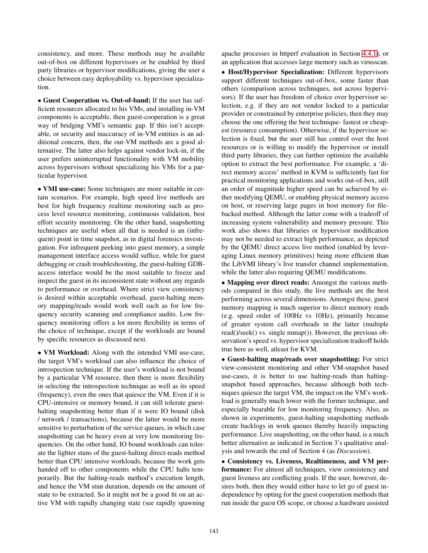consistency, and more. These methods may be available out-of-box on different hypervisors or be enabled by third party libraries or hypervisor modifications, giving the user a choice between easy deployability vs. hypervisor specialization.

• Guest Cooperation vs. Out-of-band: If the user has sufficient resources allocated to his VMs, and installing in-VM components is acceptable, then guest-cooperation is a great way of bridging VMI's semantic gap. If this isn't acceptable, or security and inaccuracy of in-VM entities is an additional concern, then, the out-VM methods are a good alternative. The latter also helps against vendor lock-in, if the user prefers uninterrupted functionality with VM mobility across hypervisors without specializing his VMs for a particular hypervisor.

• VMI use-case: Some techniques are more suitable in certain scenarios. For example, high speed live methods are best for high frequency realtime monitoring such as process level resource monitoring, continuous validation, best effort security monitoring. On the other hand, snapshotting techniques are useful when all that is needed is an (infrequent) point in time snapshot, as in digital forensics investigation. For infrequent peeking into guest memory, a simple management interface access would suffice, while for guest debugging or crash troubleshooting, the guest-halting GDBaccess interface would be the most suitable to freeze and inspect the guest in its inconsistent state without any regards to performance or overhead. Where strict view consistency is desired within acceptable overhead, guest-halting memory mapping/reads would work well such as for low frequency security scanning and compliance audits. Low frequency monitoring offers a lot more flexibility in terms of the choice of technique, except if the workloads are bound by specific resources as discussed next.

• VM Workload: Along with the intended VMI use-case, the target VM's workload can also influence the choice of introspection technique. If the user's workload is not bound by a particular VM resource, then there is more flexibility in selecting the introspection technique as well as its speed (frequency), even the ones that quiesce the VM. Even if it is CPU-intensive or memory bound, it can still tolerate guesthalting snapshotting better than if it were IO bound (disk / network / transactions), because the latter would be more sensitive to perturbation of the service queues, in which case snapshotting can be heavy even at very low monitoring frequencies. On the other hand, IO bound workloads can tolerate the lighter stuns of the guest-halting direct-reads method better than CPU intensive workloads, because the work gets handed off to other components while the CPU halts temporarily. But the halting-reads method's execution length, and hence the VM stun duration, depends on the amount of state to be extracted. So it might not be a good fit on an active VM with rapidly changing state (see rapidly spawning

apache processes in httperf evaluation in Section [4.4.1\)](#page-7-0), or an application that accesses large memory such as virusscan.

• Host/Hypervisor Specialization: Different hypervisors support different techniques out-of-box, some faster than others (comparison across techniques, not across hypervisors). If the user has freedom of choice over hypervisor selection, e.g. if they are not vendor locked to a particular provider or constrained by enterprise policies, then they may choose the one offering the best technique- fastest or cheapest (resource consumption). Otherwise, if the hypervisor selection is fixed, but the user still has control over the host resources or is willing to modify the hypervisor or install third party libraries, they can further optimize the available option to extract the best performance. For example, a 'direct memory access' method in KVM is sufficiently fast for practical monitoring applications and works out-of-box, still an order of magnitude higher speed can be achieved by either modifying QEMU, or enabling physical memory access on host, or reserving large pages in host memory for filebacked method. Although the latter come with a tradeoff of increasing system vulnerability and memory pressure. This work also shows that libraries or hypervisor modification may not be needed to extract high performance, as depicted by the QEMU direct access live method (enabled by leveraging Linux memory primitives) being more efficient than the LibVMI library's live transfer channel implementation, while the latter also requiring QEMU modifications.

• Mapping over direct reads: Amongst the various methods compared in this study, the live methods are the best performing across several dimensions. Amongst these, guest memory mapping is much superior to direct memory reads (e.g. speed order of 100Hz vs 10Hz), primarily because of greater system call overheads in the latter (multiple read()/seek() vs. single mmap()). However, the previous observation's speed vs. hypervisor specialization tradeoff holds true here as well, atleast for KVM.

• Guest-halting map/reads over snapshotting: For strict view-consistent monitoring and other VM-snapshot based use-cases, it is better to use halting-reads than haltingsnapshot based approaches, because although both techniques quiesce the target VM, the impact on the VM's workload is generally much lower with the former technique, and especially bearable for low monitoring frequency. Also, as shown in experiments, guest-halting snapshotting methods create backlogs in work queues thereby heavily impacting performance. Live snapshotting, on the other hand, is a much better alternative as indicated in Section 3's qualitative analysis and towards the end of Section 4 (as *Discussion*).

• Consistency vs. Liveness, Realtimeness, and VM performance: For almost all techniques, view consistency and guest liveness are conflicting goals. If the user, however, desires both, then they would either have to let go of guest independence by opting for the guest cooperation methods that run inside the guest OS scope, or choose a hardware assisted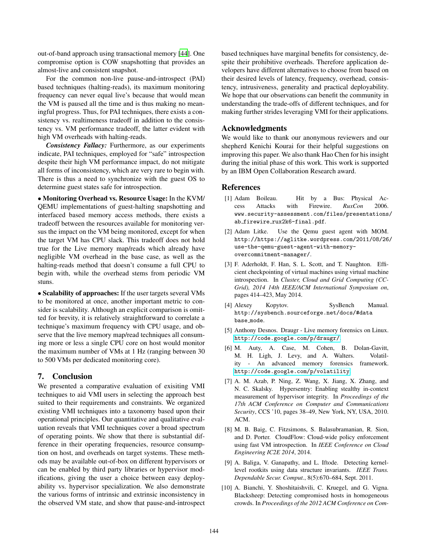out-of-band approach using transactional memory [\[44](#page-13-23)]. One compromise option is COW snapshotting that provides an almost-live and consistent snapshot.

For the common non-live pause-and-introspect (PAI) based techniques (halting-reads), its maximum monitoring frequency can never equal live's because that would mean the VM is paused all the time and is thus making no meaningful progress. Thus, for PAI techniques, there exists a consistency vs. realtimeness tradeoff in addition to the consistency vs. VM performance tradeoff, the latter evident with high VM overheads with halting-reads.

*Consistency Fallacy:* Furthermore, as our experiments indicate, PAI techniques, employed for "safe" introspection despite their high VM performance impact, do not mitigate all forms of inconsistency, which are very rare to begin with. There is thus a need to synchronize with the guest OS to determine guest states safe for introspection.

• Monitoring Overhead vs. Resource Usage: In the KVM/ QEMU implementations of guest-halting snapshotting and interfaced based memory access methods, there exists a tradeoff between the resources available for monitoring versus the impact on the VM being monitored, except for when the target VM has CPU slack. This tradeoff does not hold true for the Live memory map/reads which already have negligible VM overhead in the base case, as well as the halting-reads method that doesn't consume a full CPU to begin with, while the overhead stems from periodic VM stuns.

• Scalability of approaches: If the user targets several VMs to be monitored at once, another important metric to consider is scalability. Although an explicit comparison is omitted for brevity, it is relatively straightforward to correlate a technique's maximum frequency with CPU usage, and observe that the live memory map/read techniques all consuming more or less a single CPU core on host would monitor the maximum number of VMs at 1 Hz (ranging between 30 to 500 VMs per dedicated monitoring core).

# 7. Conclusion

We presented a comparative evaluation of exisiting VMI techniques to aid VMI users in selecting the approach best suited to their requirements and constraints. We organized existing VMI techniques into a taxonomy based upon their operational principles. Our quantitative and qualitative evaluation reveals that VMI techniques cover a broad spectrum of operating points. We show that there is substantial difference in their operating frequencies, resource consumption on host, and overheads on target systems. These methods may be available out-of-box on different hypervisors or can be enabled by third party libraries or hypervisor modifications, giving the user a choice between easy deployability vs. hypervisor specialization. We also demonstrate the various forms of intrinsic and extrinsic inconsistency in the observed VM state, and show that pause-and-introspect based techniques have marginal benefits for consistency, despite their prohibitive overheads. Therefore application developers have different alternatives to choose from based on their desired levels of latency, frequency, overhead, consistency, intrusiveness, generality and practical deployability. We hope that our observations can benefit the community in understanding the trade-offs of different techniques, and for making further strides leveraging VMI for their applications.

#### Acknowledgments

We would like to thank our anonymous reviewers and our shepherd Kenichi Kourai for their helpful suggestions on improving this paper. We also thank Hao Chen for his insight during the initial phase of this work. This work is supported by an IBM Open Collaboration Research award.

## References

- <span id="page-11-7"></span>[1] Adam Boileau. Hit by a Bus: Physical Access Attacks with Firewire. *RuxCon* 2006. www.security-assessment.com/files/presentations/ ab firewire rux2k6-final.pdf.
- <span id="page-11-8"></span>[2] Adam Litke. Use the Qemu guest agent with MOM. http://https://aglitke.wordpress.com/2011/08/26/ use-the-qemu-guest-agent-with-memoryovercommitment-manager/.
- <span id="page-11-1"></span>[3] F. Aderholdt, F. Han, S. L. Scott, and T. Naughton. Efficient checkpointing of virtual machines using virtual machine introspection. In *Cluster, Cloud and Grid Computing (CC-Grid), 2014 14th IEEE/ACM International Symposium on*, pages 414–423, May 2014.
- <span id="page-11-9"></span>[4] Alexey Kopytov. SysBench Manual. http://sysbench.sourceforge.net/docs/#data base mode.
- <span id="page-11-4"></span>[5] Anthony Desnos. Draugr - Live memory forensics on Linux. <http://code.google.com/p/draugr/>.
- <span id="page-11-5"></span>[6] M. Auty, A. Case, M. Cohen, B. Dolan-Gavitt, M. H. Ligh, J. Levy, and A. Walters. Volatility - An advanced memory forensics framework. <http://code.google.com/p/volatility>.
- <span id="page-11-6"></span>[7] A. M. Azab, P. Ning, Z. Wang, X. Jiang, X. Zhang, and N. C. Skalsky. Hypersentry: Enabling stealthy in-context measurement of hypervisor integrity. In *Proceedings of the 17th ACM Conference on Computer and Communications Security*, CCS '10, pages 38–49, New York, NY, USA, 2010. ACM.
- <span id="page-11-2"></span>[8] M. B. Baig, C. Fitzsimons, S. Balasubramanian, R. Sion, and D. Porter. CloudFlow: Cloud-wide policy enforcement using fast VM introspection. In *IEEE Conference on Cloud Engineering IC2E 2014*, 2014.
- <span id="page-11-0"></span>[9] A. Baliga, V. Ganapathy, and L. Iftode. Detecting kernellevel rootkits using data structure invariants. *IEEE Trans. Dependable Secur. Comput.*, 8(5):670–684, Sept. 2011.
- <span id="page-11-3"></span>[10] A. Bianchi, Y. Shoshitaishvili, C. Kruegel, and G. Vigna. Blacksheep: Detecting compromised hosts in homogeneous crowds. In *Proceedings of the 2012 ACM Conference on Com-*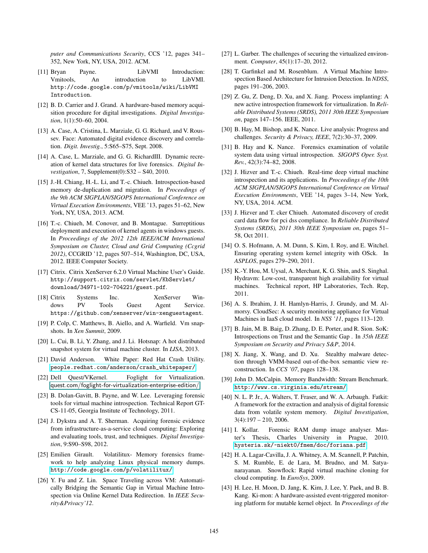*puter and Communications Security*, CCS '12, pages 341– 352, New York, NY, USA, 2012. ACM.

- <span id="page-12-25"></span>[11] Bryan Payne. LibVMI Introduction: Vmitools, An introduction to LibVMI. http://code.google.com/p/vmitools/wiki/LibVMI Introduction.
- <span id="page-12-19"></span>[12] B. D. Carrier and J. Grand. A hardware-based memory acquisition procedure for digital investigations. *Digital Investigation*, 1(1):50–60, 2004.
- <span id="page-12-1"></span>[13] A. Case, A. Cristina, L. Marziale, G. G. Richard, and V. Roussev. Face: Automated digital evidence discovery and correlation. *Digit. Investig.*, 5:S65–S75, Sept. 2008.
- <span id="page-12-2"></span>[14] A. Case, L. Marziale, and G. G. RichardIII. Dynamic recreation of kernel data structures for live forensics. *Digital Investigation*, 7, Supplement(0):S32 – S40, 2010.
- <span id="page-12-11"></span>[15] J.-H. Chiang, H.-L. Li, and T.-c. Chiueh. Introspection-based memory de-duplication and migration. In *Proceedings of the 9th ACM SIGPLAN/SIGOPS International Conference on Virtual Execution Environments*, VEE '13, pages 51–62, New York, NY, USA, 2013. ACM.
- <span id="page-12-16"></span>[16] T.-c. Chiueh, M. Conover, and B. Montague. Surreptitious deployment and execution of kernel agents in windows guests. In *Proceedings of the 2012 12th IEEE/ACM International Symposium on Cluster, Cloud and Grid Computing (Ccgrid 2012)*, CCGRID '12, pages 507–514, Washington, DC, USA, 2012. IEEE Computer Society.
- <span id="page-12-21"></span>[17] Citrix. Citrix XenServer 6.2.0 Virtual Machine User's Guide. http://support.citrix.com/servlet/KbServlet/ download/34971-102-704221/guest.pdf.
- <span id="page-12-22"></span>[18] Citrix Systems Inc. XenServer Windows PV Tools Guest Agent Service. https://github.com/xenserver/win-xenguestagent.
- <span id="page-12-27"></span>[19] P. Colp, C. Matthews, B. Aiello, and A. Warfield. Vm snapshots. In *Xen Summit*, 2009.
- <span id="page-12-26"></span>[20] L. Cui, B. Li, Y. Zhang, and J. Li. Hotsnap: A hot distributed snapshot system for virtual machine cluster. In *LISA*, 2013.
- <span id="page-12-24"></span>[21] David Anderson. White Paper: Red Hat Crash Utility. [people.redhat.com/anderson/crash\\_whitepaper/](people.redhat.com/anderson/crash_whitepaper/).
- <span id="page-12-23"></span>[22] Dell Quest/VKernel. Foglight for Virtualization. [quest.com/foglight-for-virtualization-enterprise-edition/](#page-0-0).
- <span id="page-12-6"></span>[23] B. Dolan-Gavitt, B. Payne, and W. Lee. Leveraging forensic tools for virtual machine introspection. Technical Report GT-CS-11-05, Georgia Institute of Technology, 2011.
- <span id="page-12-3"></span>[24] J. Dykstra and A. T. Sherman. Acquiring forensic evidence from infrastructure-as-a-service cloud computing: Exploring and evaluating tools, trust, and techniques. *Digital Investigation*, 9:S90–S98, 2012.
- <span id="page-12-13"></span>[25] Emilien Girault. Volatilitux- Memory forensics framework to help analyzing Linux physical memory dumps. <http://code.google.com/p/volatilitux/>.
- <span id="page-12-7"></span>[26] Y. Fu and Z. Lin. Space Traveling across VM: Automatically Bridging the Semantic Gap in Virtual Machine Introspection via Online Kernel Data Redirection. In *IEEE Security&Privacy'12*.
- [27] L. Garber. The challenges of securing the virtualized environment. *Computer*, 45(1):17–20, 2012.
- <span id="page-12-0"></span>[28] T. Garfinkel and M. Rosenblum. A Virtual Machine Introspection Based Architecture for Intrusion Detection. In *NDSS*, pages 191–206, 2003.
- <span id="page-12-17"></span>[29] Z. Gu, Z. Deng, D. Xu, and X. Jiang. Process implanting: A new active introspection framework for virtualization. In *Reliable Distributed Systems (SRDS), 2011 30th IEEE Symposium on*, pages 147–156. IEEE, 2011.
- <span id="page-12-31"></span>[30] B. Hay, M. Bishop, and K. Nance. Live analysis: Progress and challenges. *Security & Privacy, IEEE*, 7(2):30–37, 2009.
- <span id="page-12-4"></span>[31] B. Hay and K. Nance. Forensics examination of volatile system data using virtual introspection. *SIGOPS Oper. Syst. Rev.*, 42(3):74–82, 2008.
- <span id="page-12-5"></span>[32] J. Hizver and T.-c. Chiueh. Real-time deep virtual machine introspection and its applications. In *Proceedings of the 10th ACM SIGPLAN/SIGOPS International Conference on Virtual Execution Environments*, VEE '14, pages 3–14, New York, NY, USA, 2014. ACM.
- <span id="page-12-12"></span>[33] J. Hizver and T. cker Chiueh. Automated discovery of credit card data flow for pci dss compliance. In *Reliable Distributed Systems (SRDS), 2011 30th IEEE Symposium on*, pages 51– 58, Oct 2011.
- <span id="page-12-8"></span>[34] O. S. Hofmann, A. M. Dunn, S. Kim, I. Roy, and E. Witchel. Ensuring operating system kernel integrity with OSck. In *ASPLOS*, pages 279–290, 2011.
- <span id="page-12-28"></span>[35] K.-Y. Hou, M. Uysal, A. Merchant, K. G. Shin, and S. Singhal. Hydravm: Low-cost, transparent high availability for virtual machines. Technical report, HP Laboratories, Tech. Rep, 2011.
- <span id="page-12-9"></span>[36] A. S. Ibrahim, J. H. Hamlyn-Harris, J. Grundy, and M. Almorsy. CloudSec: A security monitoring appliance for Virtual Machines in IaaS cloud model. In *NSS '11*, pages 113–120.
- <span id="page-12-18"></span>[37] B. Jain, M. B. Baig, D. Zhang, D. E. Porter, and R. Sion. SoK: Introspections on Trust and the Semantic Gap . In *35th IEEE Symposium on Security and Privacy S&P*, 2014.
- <span id="page-12-10"></span>[38] X. Jiang, X. Wang, and D. Xu. Stealthy malware detection through VMM-based out-of-the-box semantic view reconstruction. In *CCS '07*, pages 128–138.
- <span id="page-12-30"></span>[39] John D. McCalpin. Memory Bandwidth: Stream Benchmark. <http://www.cs.virginia.edu/stream/>.
- <span id="page-12-14"></span>[40] N. L. P. Jr., A. Walters, T. Fraser, and W. A. Arbaugh. Fatkit: A framework for the extraction and analysis of digital forensic data from volatile system memory. *Digital Investigation*,  $3(4):197 - 210, 2006.$
- <span id="page-12-15"></span>[41] I. Kollar. Forensic RAM dump image analyser. Master's Thesis, Charles University in Prague, 2010. <hysteria.sk/~niekt0/fmem/doc/foriana.pdf>.
- <span id="page-12-29"></span>[42] H. A. Lagar-Cavilla, J. A. Whitney, A. M. Scannell, P. Patchin, S. M. Rumble, E. de Lara, M. Brudno, and M. Satyanarayanan. Snowflock: Rapid virtual machine cloning for cloud computing. In *EuroSys*, 2009.
- <span id="page-12-20"></span>[43] H. Lee, H. Moon, D. Jang, K. Kim, J. Lee, Y. Paek, and B. B. Kang. Ki-mon: A hardware-assisted event-triggered monitoring platform for mutable kernel object. In *Proceedings of the*